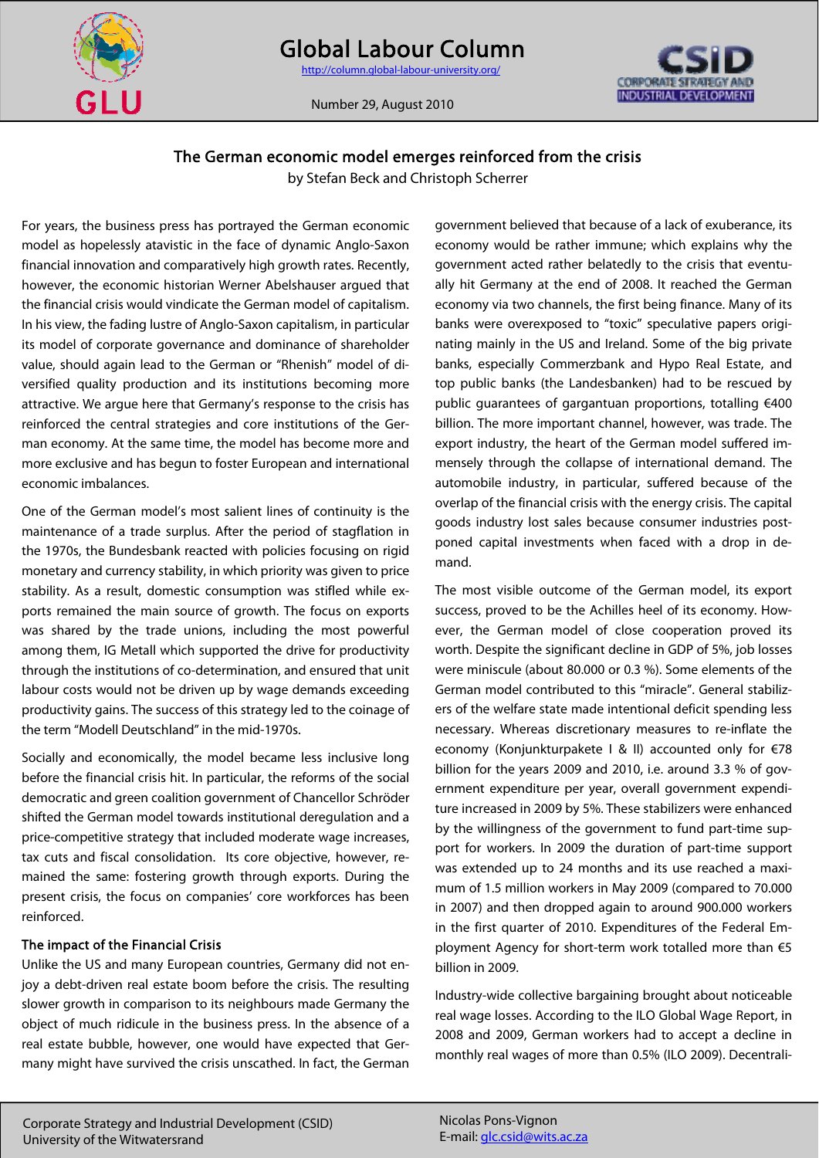

INDUSTRIAL DEVELOPMENT

Number 29, August 2010

# The German economic model emerges reinforced from the crisis

by Stefan Beck and Christoph Scherrer

For years, the business press has portrayed the German economic model as hopelessly atavistic in the face of dynamic Anglo-Saxon financial innovation and comparatively high growth rates. Recently, however, the economic historian Werner Abelshauser argued that the financial crisis would vindicate the German model of capitalism. In his view, the fading lustre of Anglo-Saxon capitalism, in particular its model of corporate governance and dominance of shareholder value, should again lead to the German or "Rhenish" model of diversified quality production and its institutions becoming more attractive. We argue here that Germany's response to the crisis has reinforced the central strategies and core institutions of the German economy. At the same time, the model has become more and more exclusive and has begun to foster European and international economic imbalances.

One of the German model's most salient lines of continuity is the maintenance of a trade surplus. After the period of stagflation in the 1970s, the Bundesbank reacted with policies focusing on rigid monetary and currency stability, in which priority was given to price stability. As a result, domestic consumption was stifled while exports remained the main source of growth. The focus on exports was shared by the trade unions, including the most powerful among them, IG Metall which supported the drive for productivity through the institutions of co-determination, and ensured that unit labour costs would not be driven up by wage demands exceeding productivity gains. The success of this strategy led to the coinage of the term "Modell Deutschland" in the mid-1970s.

Socially and economically, the model became less inclusive long before the financial crisis hit. In particular, the reforms of the social democratic and green coalition government of Chancellor Schröder shifted the German model towards institutional deregulation and a price-competitive strategy that included moderate wage increases, tax cuts and fiscal consolidation. Its core objective, however, remained the same: fostering growth through exports. During the present crisis, the focus on companies' core workforces has been reinforced.

### The impact of the Financial Crisis

Unlike the US and many European countries, Germany did not enjoy a debt-driven real estate boom before the crisis. The resulting slower growth in comparison to its neighbours made Germany the object of much ridicule in the business press. In the absence of a real estate bubble, however, one would have expected that Germany might have survived the crisis unscathed. In fact, the German government believed that because of a lack of exuberance, its economy would be rather immune; which explains why the government acted rather belatedly to the crisis that eventually hit Germany at the end of 2008. It reached the German economy via two channels, the first being finance. Many of its banks were overexposed to "toxic" speculative papers originating mainly in the US and Ireland. Some of the big private banks, especially Commerzbank and Hypo Real Estate, and top public banks (the Landesbanken) had to be rescued by public guarantees of gargantuan proportions, totalling €400 billion. The more important channel, however, was trade. The export industry, the heart of the German model suffered immensely through the collapse of international demand. The automobile industry, in particular, suffered because of the overlap of the financial crisis with the energy crisis. The capital goods industry lost sales because consumer industries postponed capital investments when faced with a drop in demand.

The most visible outcome of the German model, its export success, proved to be the Achilles heel of its economy. However, the German model of close cooperation proved its worth. Despite the significant decline in GDP of 5%, job losses were miniscule (about 80.000 or 0.3 %). Some elements of the German model contributed to this "miracle". General stabilizers of the welfare state made intentional deficit spending less necessary. Whereas discretionary measures to re-inflate the economy (Konjunkturpakete I & II) accounted only for €78 billion for the years 2009 and 2010, i.e. around 3.3 % of government expenditure per year, overall government expenditure increased in 2009 by 5%. These stabilizers were enhanced by the willingness of the government to fund part-time support for workers. In 2009 the duration of part-time support was extended up to 24 months and its use reached a maximum of 1.5 million workers in May 2009 (compared to 70.000 in 2007) and then dropped again to around 900.000 workers in the first quarter of 2010. Expenditures of the Federal Employment Agency for short-term work totalled more than €5 billion in 2009.

Industry-wide collective bargaining brought about noticeable real wage losses. According to the ILO Global Wage Report, in 2008 and 2009, German workers had to accept a decline in monthly real wages of more than 0.5% (ILO 2009). Decentrali